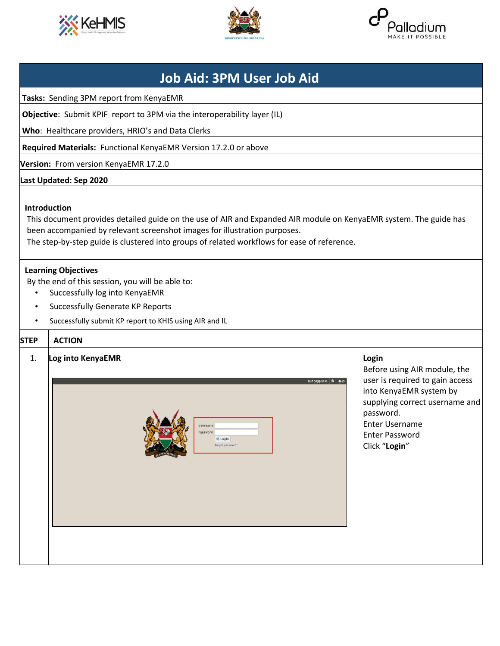





## **Job Aid: 3PM User Job Aid**

**Tasks:** Sending 3PM report from KenyaEMR

**Objective**: Submit KPIF report to 3PM via the interoperability layer (IL)

**Who**: Healthcare providers, HRIO's and Data Clerks

**Required Materials:** Functional KenyaEMR Version 17.2.0 or above

**Version:** From version KenyaEMR 17.2.0

## **Last Updated: Sep 2020**

## **Introduction**

This document provides detailed guide on the use of AIR and Expanded AIR module on KenyaEMR system. The guide has been accompanied by relevant screenshot images for illustration purposes.

The step-by-step guide is clustered into groups of related workflows for ease of reference.

## **Learning Objectives**

By the end of this session, you will be able to:

- Successfully log into KenyaEMR
- Successfully Generate KP Reports
- Successfully submit KP report to KHIS using AIR and IL

| <b>STEP</b> | <b>ACTION</b>                                                                                    |                                                                                                                                                                                                                       |
|-------------|--------------------------------------------------------------------------------------------------|-----------------------------------------------------------------------------------------------------------------------------------------------------------------------------------------------------------------------|
| 1.          | Log into KenyaEMR<br>Not Logged in @ Help<br>Username<br>Password<br>Q Login<br>Forgot password? | Login<br>Before using AIR module, the<br>user is required to gain access<br>into KenyaEMR system by<br>supplying correct username and<br>password.<br><b>Enter Username</b><br><b>Enter Password</b><br>Click "Login" |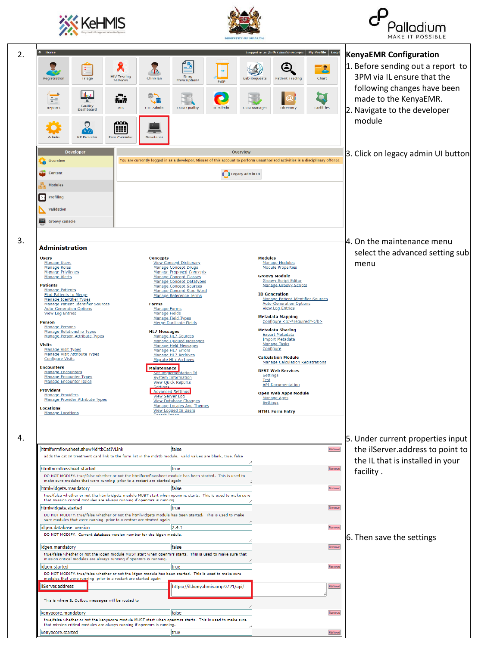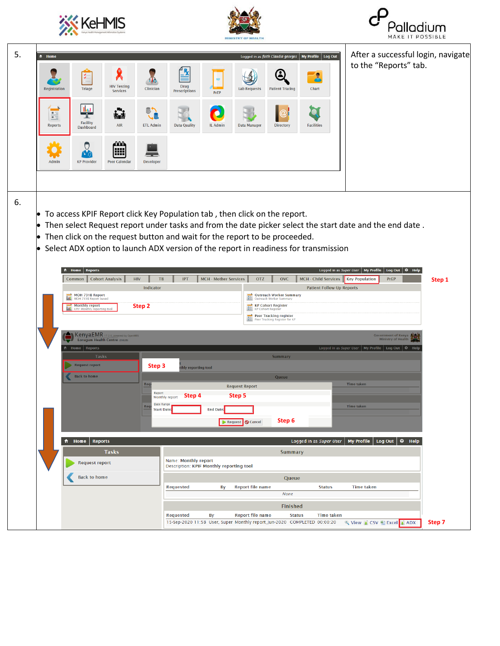





| 5. | ft Home             |                                                                                       |                                        |                                                                  |                              |                         | Logged in as faith Claudia georges                                                          | My Profile   Log Out                                                       | After a successful login, navigate                                                                      |        |
|----|---------------------|---------------------------------------------------------------------------------------|----------------------------------------|------------------------------------------------------------------|------------------------------|-------------------------|---------------------------------------------------------------------------------------------|----------------------------------------------------------------------------|---------------------------------------------------------------------------------------------------------|--------|
|    |                     |                                                                                       |                                        |                                                                  |                              |                         |                                                                                             | $\mathbf{R}$                                                               | to the "Reports" tab.                                                                                   |        |
|    | <b>Registration</b> | <b>HIV Testing</b><br><b>Triage</b><br><b>Services</b>                                | Clinician                              | <b>Drug</b><br><b>Prescriptions</b>                              | PrEP                         | <b>Lab Requests</b>     | <b>Patient Tracing</b>                                                                      | Chart                                                                      |                                                                                                         |        |
|    | E                   | that<br>ĥł<br>Ť.                                                                      | <b>高ブ</b>                              |                                                                  |                              |                         | $\omega$                                                                                    |                                                                            |                                                                                                         |        |
|    | <b>Reports</b>      | <b>Facility</b><br><b>AIR</b><br><b>Dashboard</b>                                     | Ja<br><b>ETL Admin</b>                 | <b>Data Quality</b>                                              | <b>IL Admin</b>              | <b>Data Manager</b>     | <b>Directory</b>                                                                            | <b>Facilities</b>                                                          |                                                                                                         |        |
|    |                     | <u>.000</u>                                                                           |                                        |                                                                  |                              |                         |                                                                                             |                                                                            |                                                                                                         |        |
|    | Admin               | I⊞<br><b>KP Provider</b><br><b>Peer Calendar</b>                                      | Developer                              |                                                                  |                              |                         |                                                                                             |                                                                            |                                                                                                         |        |
|    |                     |                                                                                       |                                        |                                                                  |                              |                         |                                                                                             |                                                                            |                                                                                                         |        |
|    |                     |                                                                                       |                                        |                                                                  |                              |                         |                                                                                             |                                                                            |                                                                                                         |        |
| 6. |                     | $\bullet$ To access KPIF Report click Key Population tab, then click on the report.   |                                        |                                                                  |                              |                         |                                                                                             |                                                                            |                                                                                                         |        |
|    |                     |                                                                                       |                                        |                                                                  |                              |                         |                                                                                             |                                                                            | Then select Request report under tasks and from the date picker select the start date and the end date. |        |
|    |                     | $\bullet$ Then click on the request button and wait for the report to be proceeded.   |                                        |                                                                  |                              |                         |                                                                                             |                                                                            |                                                                                                         |        |
|    |                     | • Select ADX option to launch ADX version of the report in readiness for transmission |                                        |                                                                  |                              |                         |                                                                                             |                                                                            |                                                                                                         |        |
|    | ft Home   Reports   |                                                                                       |                                        |                                                                  |                              |                         |                                                                                             |                                                                            | Logged in as Super User   My Profile<br>Log Out $\boxed{\odot}$ Help                                    |        |
|    |                     | Common   Cohort Analysis                                                              | <b>HIV</b><br>TB<br>Indicator          | IPT                                                              | <b>MCH - Mother Services</b> | <b>OTZ</b>              | <b>OVC</b>                                                                                  | MCH - Child Services    Key Population<br><b>Patient Follow-Up Reports</b> | PrEP                                                                                                    | Step 1 |
|    |                     | MOH 731B Report<br>MOH 731B Report based<br><b>Monthly report</b>                     | Step 2                                 |                                                                  |                              |                         | Outreach Worker Summary<br>Outreach Worker Summary<br><b>KP Cohort Register</b>             |                                                                            |                                                                                                         |        |
|    |                     |                                                                                       |                                        |                                                                  |                              |                         | <b>KP Cohort Register</b><br><b>Peer Tracking register</b><br>Peer Tracking Register for KP |                                                                            |                                                                                                         |        |
|    |                     | KenyaEMR 17.2.0, powered by OpenMRS                                                   |                                        |                                                                  |                              |                         |                                                                                             |                                                                            | <b>Government of Kenya</b>                                                                              |        |
|    |                     | Lorugum Health Centre (20826)<br>Home   Reports                                       |                                        |                                                                  |                              |                         |                                                                                             |                                                                            | <b>Ministry of Health</b>                                                                               |        |
|    |                     | <b>Tasks</b>                                                                          |                                        |                                                                  |                              |                         |                                                                                             |                                                                            | Logged in as Super User   My Profile   Log Out   @ Help                                                 |        |
|    |                     |                                                                                       |                                        |                                                                  |                              |                         | <b>Summary</b>                                                                              |                                                                            |                                                                                                         |        |
|    |                     | <b>Request report</b><br><b>Back to home</b>                                          | Step 3                                 | thly reporting tool                                              |                              |                         | Queue                                                                                       |                                                                            |                                                                                                         |        |
|    |                     |                                                                                       | Req                                    |                                                                  |                              | <b>Request Report</b>   |                                                                                             |                                                                            | <b>Time taken</b>                                                                                       |        |
|    |                     |                                                                                       | Report<br>Monthly report<br>Date Range | <b>Step 4</b>                                                    |                              | Step 5                  |                                                                                             |                                                                            |                                                                                                         |        |
|    |                     |                                                                                       | <b>Start Date:</b>                     |                                                                  | <b>End Date:</b>             |                         |                                                                                             |                                                                            | Time taken                                                                                              |        |
|    |                     |                                                                                       |                                        |                                                                  |                              | Request   Cancel        | Step 6                                                                                      |                                                                            |                                                                                                         |        |
|    | <del>n</del> Home   | <b>Reports</b>                                                                        |                                        |                                                                  |                              |                         |                                                                                             | Logged in as Super User                                                    | My Profile<br>Log Out $\bigcirc$ Help                                                                   |        |
|    |                     | <b>Tasks</b>                                                                          |                                        |                                                                  |                              |                         | <b>Summary</b>                                                                              |                                                                            |                                                                                                         |        |
|    |                     | <b>Request report</b>                                                                 |                                        | Name: Monthly report<br>Description: KPIF Monthly reporting tool |                              |                         |                                                                                             |                                                                            |                                                                                                         |        |
|    |                     | <b>Back to home</b>                                                                   |                                        |                                                                  |                              |                         | Queue                                                                                       |                                                                            |                                                                                                         |        |
|    |                     |                                                                                       |                                        | <b>Requested</b>                                                 | Вy                           | <b>Report file name</b> | None                                                                                        | <b>Status</b>                                                              | <b>Time taken</b>                                                                                       |        |
|    |                     |                                                                                       |                                        | <b>Requested</b>                                                 | By                           | <b>Report file name</b> | <b>Finished</b><br><b>Status</b>                                                            | <b>Time taken</b>                                                          |                                                                                                         |        |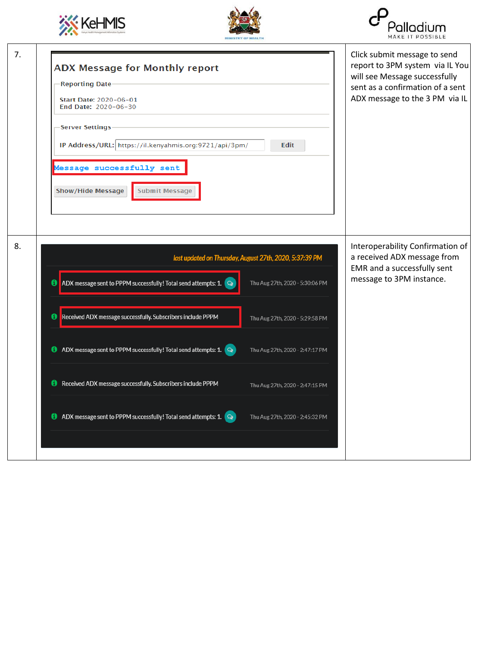





| 7. | <b>ADX Message for Monthly report</b><br><b>Reporting Date</b><br>Start Date: 2020-06-01<br>End Date: 2020-06-30                                                                                                         | Click submit message to send<br>report to 3PM system via IL You<br>will see Message successfully<br>sent as a confirmation of a sent<br>ADX message to the 3 PM via IL |
|----|--------------------------------------------------------------------------------------------------------------------------------------------------------------------------------------------------------------------------|------------------------------------------------------------------------------------------------------------------------------------------------------------------------|
|    | <b>Server Settings</b><br>IP Address/URL: https://il.kenyahmis.org:9721/api/3pm/<br>Edit<br>Message successfully sent<br>Show/Hide Message<br><b>Submit Message</b>                                                      |                                                                                                                                                                        |
| 8. | last updated on Thursday, August 27th, 2020, 5:37:39 PM<br>ADX message sent to PPPM successfully! Total send attempts: 1.<br>Thu Aug 27th, 2020 - 5:30:06 PM<br>G                                                        | Interoperability Confirmation of<br>a received ADX message from<br>EMR and a successfully sent<br>message to 3PM instance.                                             |
|    | Received ADX message successfully. Subscribers include PPPM<br>6<br>Thu Aug 27th, 2020 - 5:29:58 PM<br>ADX message sent to PPPM successfully! Total send attempts: 1. $\bigcirc$<br>o<br>Thu Aug 27th, 2020 - 2:47:17 PM |                                                                                                                                                                        |
|    | Received ADX message successfully. Subscribers include PPPM<br>Thu Aug 27th, 2020 - 2:47:15 PM                                                                                                                           |                                                                                                                                                                        |
|    | ADX message sent to PPPM successfully! Total send attempts: 1. $\bigcirc$<br>Ø<br>Thu Aug 27th, 2020 - 2:45:32 PM                                                                                                        |                                                                                                                                                                        |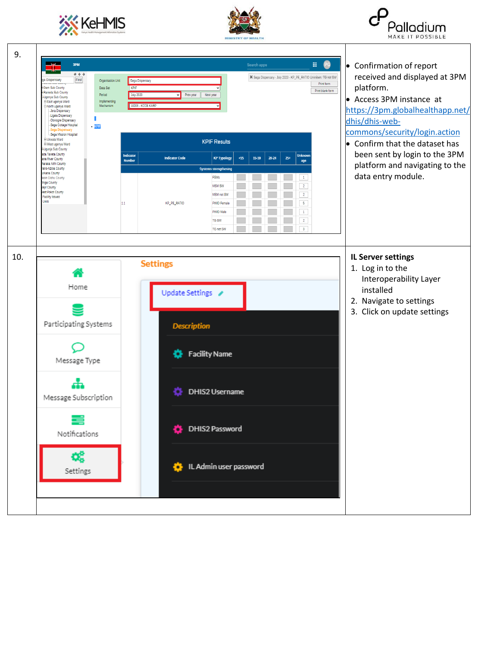